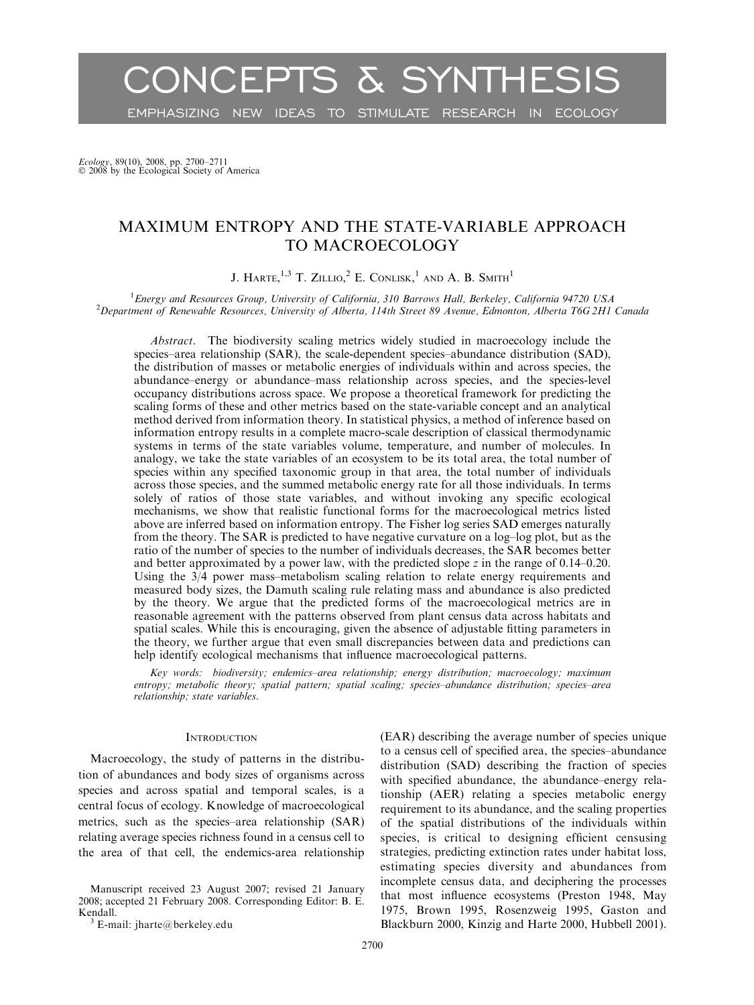CONCEPTS & SYNTHESIS

EMPHASIZING NEW IDEAS TO STIMULATE RESEARCH IN ECOLOGY

Ecology, 89(10), 2008, pp. 2700–2711  $\odot$  2008 by the Ecological Society of America

# MAXIMUM ENTROPY AND THE STATE-VARIABLE APPROACH TO MACROECOLOGY

J. HARTE,  $^{1,3}$  T. Zillio,  $^2$  E. Conlisk,  $^1$  and A. B. Smith  $^1$ 

<sup>1</sup>Energy and Resources Group, University of California, 310 Barrows Hall, Berkeley, California 94720 USA<br><sup>2</sup>Denortment of Penewable Resources, University of Alberta, 114th Street 80 Ayanye, Edmonton, Alberta T6G 2H1 <sup>2</sup> Department of Renewable Resources, University of Alberta, 114th Street 89 Avenue, Edmonton, Alberta T6G 2H1 Canada

Abstract. The biodiversity scaling metrics widely studied in macroecology include the species–area relationship (SAR), the scale-dependent species–abundance distribution (SAD), the distribution of masses or metabolic energies of individuals within and across species, the abundance–energy or abundance–mass relationship across species, and the species-level occupancy distributions across space. We propose a theoretical framework for predicting the scaling forms of these and other metrics based on the state-variable concept and an analytical method derived from information theory. In statistical physics, a method of inference based on information entropy results in a complete macro-scale description of classical thermodynamic systems in terms of the state variables volume, temperature, and number of molecules. In analogy, we take the state variables of an ecosystem to be its total area, the total number of species within any specified taxonomic group in that area, the total number of individuals across those species, and the summed metabolic energy rate for all those individuals. In terms solely of ratios of those state variables, and without invoking any specific ecological mechanisms, we show that realistic functional forms for the macroecological metrics listed above are inferred based on information entropy. The Fisher log series SAD emerges naturally from the theory. The SAR is predicted to have negative curvature on a log–log plot, but as the ratio of the number of species to the number of individuals decreases, the SAR becomes better and better approximated by a power law, with the predicted slope z in the range of 0.14–0.20. Using the 3/4 power mass–metabolism scaling relation to relate energy requirements and measured body sizes, the Damuth scaling rule relating mass and abundance is also predicted by the theory. We argue that the predicted forms of the macroecological metrics are in reasonable agreement with the patterns observed from plant census data across habitats and spatial scales. While this is encouraging, given the absence of adjustable fitting parameters in the theory, we further argue that even small discrepancies between data and predictions can help identify ecological mechanisms that influence macroecological patterns.

Key words: biodiversity; endemics–area relationship; energy distribution; macroecology; maximum entropy; metabolic theory; spatial pattern; spatial scaling; species–abundance distribution; species–area relationship; state variables.

### **INTRODUCTION**

Macroecology, the study of patterns in the distribution of abundances and body sizes of organisms across species and across spatial and temporal scales, is a central focus of ecology. Knowledge of macroecological metrics, such as the species–area relationship (SAR) relating average species richness found in a census cell to the area of that cell, the endemics-area relationship

Manuscript received 23 August 2007; revised 21 January 2008; accepted 21 February 2008. Corresponding Editor: B. E.

 $3$  E-mail: jharte@berkeley.edu

(EAR) describing the average number of species unique to a census cell of specified area, the species–abundance distribution (SAD) describing the fraction of species with specified abundance, the abundance–energy relationship (AER) relating a species metabolic energy requirement to its abundance, and the scaling properties of the spatial distributions of the individuals within species, is critical to designing efficient censusing strategies, predicting extinction rates under habitat loss, estimating species diversity and abundances from incomplete census data, and deciphering the processes that most influence ecosystems (Preston 1948, May 1975, Brown 1995, Rosenzweig 1995, Gaston and Blackburn 2000, Kinzig and Harte 2000, Hubbell 2001).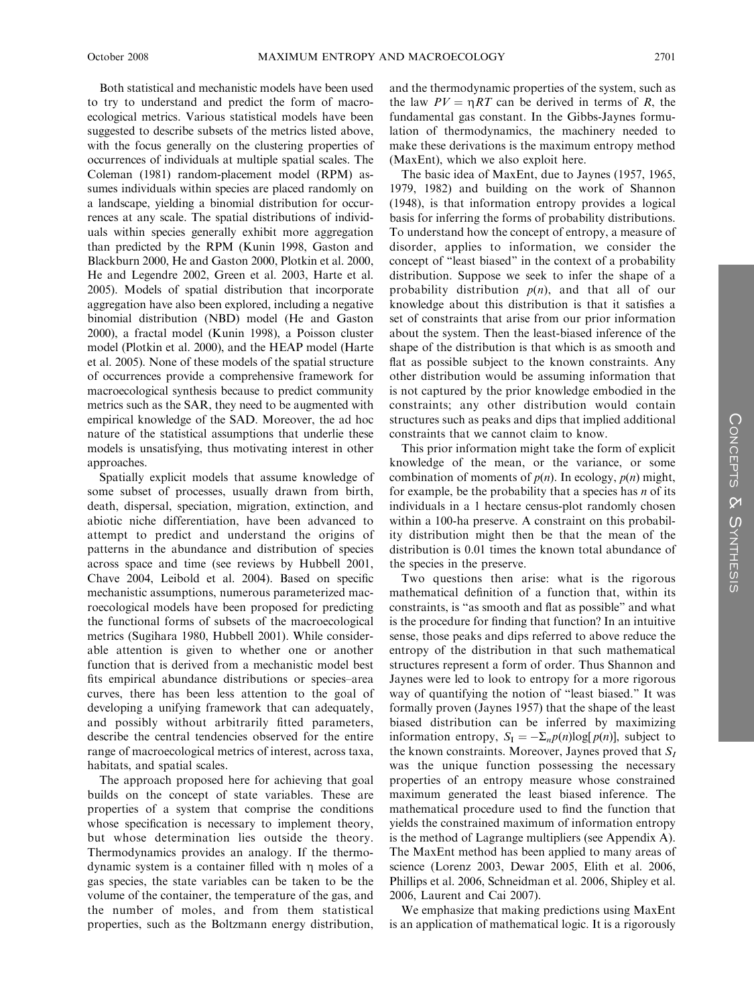Both statistical and mechanistic models have been used to try to understand and predict the form of macroecological metrics. Various statistical models have been suggested to describe subsets of the metrics listed above, with the focus generally on the clustering properties of occurrences of individuals at multiple spatial scales. The Coleman (1981) random-placement model (RPM) assumes individuals within species are placed randomly on a landscape, yielding a binomial distribution for occurrences at any scale. The spatial distributions of individuals within species generally exhibit more aggregation than predicted by the RPM (Kunin 1998, Gaston and Blackburn 2000, He and Gaston 2000, Plotkin et al. 2000, He and Legendre 2002, Green et al. 2003, Harte et al. 2005). Models of spatial distribution that incorporate aggregation have also been explored, including a negative binomial distribution (NBD) model (He and Gaston 2000), a fractal model (Kunin 1998), a Poisson cluster model (Plotkin et al. 2000), and the HEAP model (Harte et al. 2005). None of these models of the spatial structure of occurrences provide a comprehensive framework for macroecological synthesis because to predict community metrics such as the SAR, they need to be augmented with empirical knowledge of the SAD. Moreover, the ad hoc nature of the statistical assumptions that underlie these models is unsatisfying, thus motivating interest in other approaches.

Spatially explicit models that assume knowledge of some subset of processes, usually drawn from birth, death, dispersal, speciation, migration, extinction, and abiotic niche differentiation, have been advanced to attempt to predict and understand the origins of patterns in the abundance and distribution of species across space and time (see reviews by Hubbell 2001, Chave 2004, Leibold et al. 2004). Based on specific mechanistic assumptions, numerous parameterized macroecological models have been proposed for predicting the functional forms of subsets of the macroecological metrics (Sugihara 1980, Hubbell 2001). While considerable attention is given to whether one or another function that is derived from a mechanistic model best fits empirical abundance distributions or species–area curves, there has been less attention to the goal of developing a unifying framework that can adequately, and possibly without arbitrarily fitted parameters, describe the central tendencies observed for the entire range of macroecological metrics of interest, across taxa, habitats, and spatial scales.

The approach proposed here for achieving that goal builds on the concept of state variables. These are properties of a system that comprise the conditions whose specification is necessary to implement theory, but whose determination lies outside the theory. Thermodynamics provides an analogy. If the thermodynamic system is a container filled with  $\eta$  moles of a gas species, the state variables can be taken to be the volume of the container, the temperature of the gas, and the number of moles, and from them statistical properties, such as the Boltzmann energy distribution, and the thermodynamic properties of the system, such as the law  $PV = \eta RT$  can be derived in terms of R, the fundamental gas constant. In the Gibbs-Jaynes formulation of thermodynamics, the machinery needed to make these derivations is the maximum entropy method (MaxEnt), which we also exploit here.

The basic idea of MaxEnt, due to Jaynes (1957, 1965, 1979, 1982) and building on the work of Shannon (1948), is that information entropy provides a logical basis for inferring the forms of probability distributions. To understand how the concept of entropy, a measure of disorder, applies to information, we consider the concept of ''least biased'' in the context of a probability distribution. Suppose we seek to infer the shape of a probability distribution  $p(n)$ , and that all of our knowledge about this distribution is that it satisfies a set of constraints that arise from our prior information about the system. Then the least-biased inference of the shape of the distribution is that which is as smooth and flat as possible subject to the known constraints. Any other distribution would be assuming information that is not captured by the prior knowledge embodied in the constraints; any other distribution would contain structures such as peaks and dips that implied additional constraints that we cannot claim to know.

This prior information might take the form of explicit knowledge of the mean, or the variance, or some combination of moments of  $p(n)$ . In ecology,  $p(n)$  might, for example, be the probability that a species has  $n$  of its individuals in a 1 hectare census-plot randomly chosen within a 100-ha preserve. A constraint on this probability distribution might then be that the mean of the distribution is 0.01 times the known total abundance of the species in the preserve.

Two questions then arise: what is the rigorous mathematical definition of a function that, within its constraints, is ''as smooth and flat as possible'' and what is the procedure for finding that function? In an intuitive sense, those peaks and dips referred to above reduce the entropy of the distribution in that such mathematical structures represent a form of order. Thus Shannon and Jaynes were led to look to entropy for a more rigorous way of quantifying the notion of ''least biased.'' It was formally proven (Jaynes 1957) that the shape of the least biased distribution can be inferred by maximizing information entropy,  $S_{I} = -\sum_{n} p(n) \log[p(n)]$ , subject to the known constraints. Moreover, Jaynes proved that  $S_I$ was the unique function possessing the necessary properties of an entropy measure whose constrained maximum generated the least biased inference. The mathematical procedure used to find the function that yields the constrained maximum of information entropy is the method of Lagrange multipliers (see Appendix A). The MaxEnt method has been applied to many areas of science (Lorenz 2003, Dewar 2005, Elith et al. 2006, Phillips et al. 2006, Schneidman et al. 2006, Shipley et al. 2006, Laurent and Cai 2007).

We emphasize that making predictions using MaxEnt is an application of mathematical logic. It is a rigorously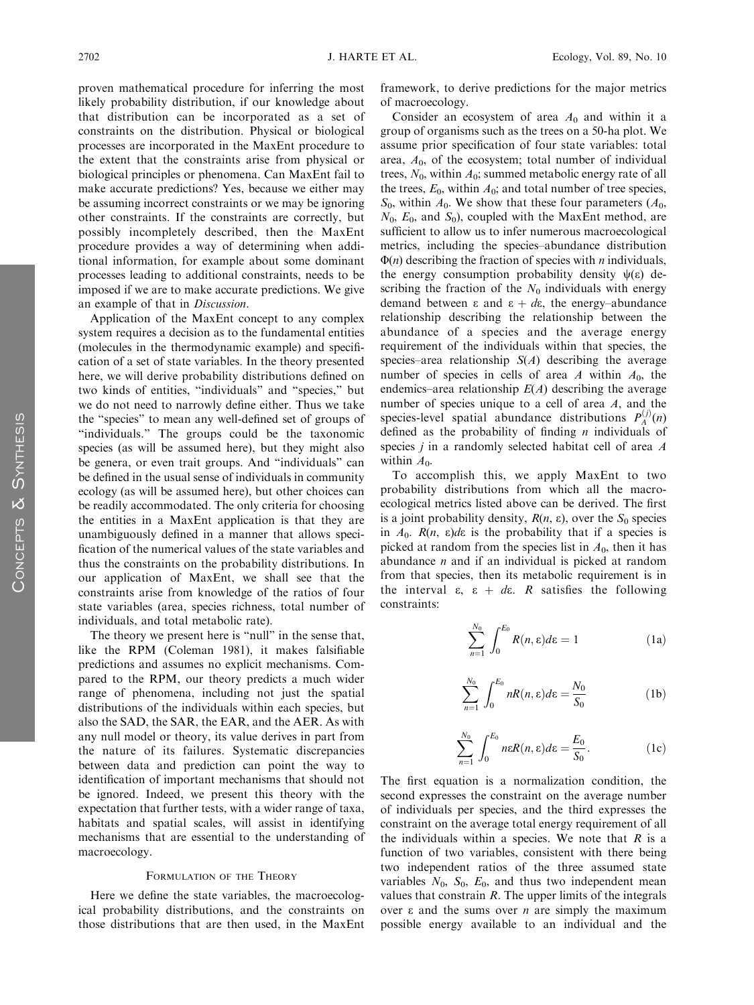proven mathematical procedure for inferring the most likely probability distribution, if our knowledge about that distribution can be incorporated as a set of constraints on the distribution. Physical or biological processes are incorporated in the MaxEnt procedure to the extent that the constraints arise from physical or biological principles or phenomena. Can MaxEnt fail to make accurate predictions? Yes, because we either may be assuming incorrect constraints or we may be ignoring other constraints. If the constraints are correctly, but possibly incompletely described, then the MaxEnt procedure provides a way of determining when additional information, for example about some dominant processes leading to additional constraints, needs to be imposed if we are to make accurate predictions. We give an example of that in Discussion.

Application of the MaxEnt concept to any complex system requires a decision as to the fundamental entities (molecules in the thermodynamic example) and specification of a set of state variables. In the theory presented here, we will derive probability distributions defined on two kinds of entities, ''individuals'' and ''species,'' but we do not need to narrowly define either. Thus we take the ''species'' to mean any well-defined set of groups of "individuals." The groups could be the taxonomic species (as will be assumed here), but they might also be genera, or even trait groups. And ''individuals'' can be defined in the usual sense of individuals in community ecology (as will be assumed here), but other choices can be readily accommodated. The only criteria for choosing the entities in a MaxEnt application is that they are unambiguously defined in a manner that allows specification of the numerical values of the state variables and thus the constraints on the probability distributions. In our application of MaxEnt, we shall see that the constraints arise from knowledge of the ratios of four state variables (area, species richness, total number of individuals, and total metabolic rate).

The theory we present here is "null" in the sense that, like the RPM (Coleman 1981), it makes falsifiable predictions and assumes no explicit mechanisms. Compared to the RPM, our theory predicts a much wider range of phenomena, including not just the spatial distributions of the individuals within each species, but also the SAD, the SAR, the EAR, and the AER. As with any null model or theory, its value derives in part from the nature of its failures. Systematic discrepancies between data and prediction can point the way to identification of important mechanisms that should not be ignored. Indeed, we present this theory with the expectation that further tests, with a wider range of taxa, habitats and spatial scales, will assist in identifying mechanisms that are essential to the understanding of macroecology.

# FORMULATION OF THE THEORY

Here we define the state variables, the macroecological probability distributions, and the constraints on those distributions that are then used, in the MaxEnt framework, to derive predictions for the major metrics of macroecology.

Consider an ecosystem of area  $A_0$  and within it a group of organisms such as the trees on a 50-ha plot. We assume prior specification of four state variables: total area,  $A_0$ , of the ecosystem; total number of individual trees,  $N_0$ , within  $A_0$ ; summed metabolic energy rate of all the trees,  $E_0$ , within  $A_0$ ; and total number of tree species,  $S_0$ , within  $A_0$ . We show that these four parameters  $(A_0, A_1)$  $N_0$ ,  $E_0$ , and  $S_0$ ), coupled with the MaxEnt method, are sufficient to allow us to infer numerous macroecological metrics, including the species–abundance distribution  $\Phi(n)$  describing the fraction of species with *n* individuals, the energy consumption probability density  $\psi(\varepsilon)$  describing the fraction of the  $N_0$  individuals with energy demand between  $\varepsilon$  and  $\varepsilon + d\varepsilon$ , the energy–abundance relationship describing the relationship between the abundance of a species and the average energy requirement of the individuals within that species, the species–area relationship  $S(A)$  describing the average number of species in cells of area A within  $A_0$ , the endemics–area relationship  $E(A)$  describing the average number of species unique to a cell of area A, and the species-level spatial abundance distributions  $P_A^{(j)}(n)$ defined as the probability of finding  $n$  individuals of species  $j$  in a randomly selected habitat cell of area  $A$ within  $A_0$ .

To accomplish this, we apply MaxEnt to two probability distributions from which all the macroecological metrics listed above can be derived. The first is a joint probability density,  $R(n, \varepsilon)$ , over the  $S_0$  species in  $A_0$ .  $R(n, \varepsilon)d\varepsilon$  is the probability that if a species is picked at random from the species list in  $A_0$ , then it has abundance  $n$  and if an individual is picked at random from that species, then its metabolic requirement is in the interval  $\varepsilon$ ,  $\varepsilon$  + d $\varepsilon$ . R satisfies the following constraints:

$$
\sum_{n=1}^{N_0} \int_0^{E_0} R(n, \varepsilon) d\varepsilon = 1
$$
 (1a)

$$
\sum_{n=1}^{N_0} \int_0^{E_0} nR(n, \varepsilon) d\varepsilon = \frac{N_0}{S_0}
$$
 (1b)

$$
\sum_{n=1}^{N_0} \int_0^{E_0} n \varepsilon R(n, \varepsilon) d\varepsilon = \frac{E_0}{S_0}.
$$
 (1c)

The first equation is a normalization condition, the second expresses the constraint on the average number of individuals per species, and the third expresses the constraint on the average total energy requirement of all the individuals within a species. We note that  $R$  is a function of two variables, consistent with there being two independent ratios of the three assumed state variables  $N_0$ ,  $S_0$ ,  $E_0$ , and thus two independent mean values that constrain *. The upper limits of the integrals* over  $\varepsilon$  and the sums over *n* are simply the maximum possible energy available to an individual and the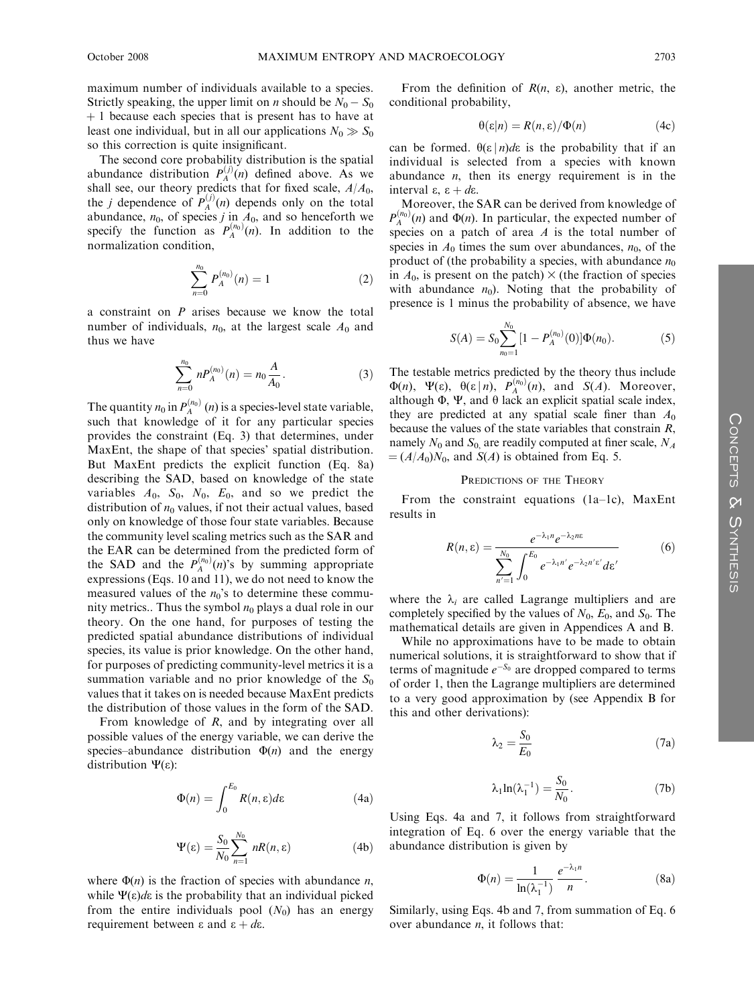maximum number of individuals available to a species. Strictly speaking, the upper limit on *n* should be  $N_0 - S_0$  $+1$  because each species that is present has to have at least one individual, but in all our applications  $N_0 \gg S_0$ so this correction is quite insignificant.

The second core probability distribution is the spatial abundance distribution  $P_A^{(j)}(n)$  defined above. As we shall see, our theory predicts that for fixed scale,  $A/A<sub>0</sub>$ , the *j* dependence of  $P_A^{(j)}(n)$  depends only on the total abundance,  $n_0$ , of species j in  $A_0$ , and so henceforth we specify the function as  $P_A^{(n_0)}(n)$ . In addition to the normalization condition,

$$
\sum_{n=0}^{n_0} P_A^{(n_0)}(n) = 1 \tag{2}
$$

a constraint on P arises because we know the total number of individuals,  $n_0$ , at the largest scale  $A_0$  and thus we have

$$
\sum_{n=0}^{n_0} n P_A^{(n_0)}(n) = n_0 \frac{A}{A_0}.
$$
 (3)

The quantity  $n_0$  in  $P_A^{(n_0)}(n)$  is a species-level state variable, such that knowledge of it for any particular species provides the constraint (Eq. 3) that determines, under MaxEnt, the shape of that species' spatial distribution. But MaxEnt predicts the explicit function (Eq. 8a) describing the SAD, based on knowledge of the state variables  $A_0$ ,  $S_0$ ,  $N_0$ ,  $E_0$ , and so we predict the distribution of  $n_0$  values, if not their actual values, based only on knowledge of those four state variables. Because the community level scaling metrics such as the SAR and the EAR can be determined from the predicted form of the SAD and the  $P_A^{(n_0)}(n)$ 's by summing appropriate expressions (Eqs. 10 and 11), we do not need to know the measured values of the  $n_0$ 's to determine these community metrics.. Thus the symbol  $n_0$  plays a dual role in our theory. On the one hand, for purposes of testing the predicted spatial abundance distributions of individual species, its value is prior knowledge. On the other hand, for purposes of predicting community-level metrics it is a summation variable and no prior knowledge of the  $S_0$ values that it takes on is needed because MaxEnt predicts the distribution of those values in the form of the SAD.

From knowledge of R, and by integrating over all possible values of the energy variable, we can derive the species–abundance distribution  $\Phi(n)$  and the energy distribution  $\Psi(\varepsilon)$ :

$$
\Phi(n) = \int_0^{E_0} R(n, \varepsilon) d\varepsilon \tag{4a}
$$

$$
\Psi(\varepsilon) = \frac{S_0}{N_0} \sum_{n=1}^{N_0} nR(n, \varepsilon)
$$
 (4b)

where  $\Phi(n)$  is the fraction of species with abundance *n*, while  $\Psi(\varepsilon)d\varepsilon$  is the probability that an individual picked from the entire individuals pool  $(N_0)$  has an energy requirement between  $\varepsilon$  and  $\varepsilon + d\varepsilon$ .

From the definition of  $R(n, \varepsilon)$ , another metric, the conditional probability,

$$
\theta(\varepsilon|n) = R(n,\varepsilon)/\Phi(n) \tag{4c}
$$

can be formed.  $\theta(\varepsilon | n) d\varepsilon$  is the probability that if an individual is selected from a species with known abundance  $n$ , then its energy requirement is in the interval  $\varepsilon$ ,  $\varepsilon + d\varepsilon$ .

Moreover, the SAR can be derived from knowledge of  $P_A^{(n_0)}(n)$  and  $\Phi(n)$ . In particular, the expected number of species on a patch of area  $A$  is the total number of species in  $A_0$  times the sum over abundances,  $n_0$ , of the product of (the probability a species, with abundance  $n_0$ in  $A_0$ , is present on the patch)  $\times$  (the fraction of species with abundance  $n_0$ ). Noting that the probability of presence is 1 minus the probability of absence, we have

$$
S(A) = S_0 \sum_{n_0=1}^{N_0} [1 - P_A^{(n_0)}(0)] \Phi(n_0).
$$
 (5)

The testable metrics predicted by the theory thus include  $\Phi(n)$ ,  $\Psi(\varepsilon)$ ,  $\theta(\varepsilon | n)$ ,  $P_A^{(n_0)}(n)$ , and  $S(A)$ . Moreover, although  $\Phi$ ,  $\Psi$ , and  $\theta$  lack an explicit spatial scale index, they are predicted at any spatial scale finer than  $A_0$ because the values of the state variables that constrain R, namely  $N_0$  and  $S_0$ , are readily computed at finer scale,  $N_A$  $=(A/A_0)N_0$ , and  $S(A)$  is obtained from Eq. 5.

#### PREDICTIONS OF THE THEORY

From the constraint equations (1a–1c), MaxEnt results in

$$
R(n,\varepsilon) = \frac{e^{-\lambda_1 n} e^{-\lambda_2 n \varepsilon}}{\sum_{n'=1}^{N_0} \int_0^{E_0} e^{-\lambda_1 n'} e^{-\lambda_2 n' \varepsilon'} d\varepsilon'}
$$
(6)

where the  $\lambda_i$  are called Lagrange multipliers and are completely specified by the values of  $N_0$ ,  $E_0$ , and  $S_0$ . The mathematical details are given in Appendices A and B.

While no approximations have to be made to obtain numerical solutions, it is straightforward to show that if terms of magnitude  $e^{-S_0}$  are dropped compared to terms of order 1, then the Lagrange multipliers are determined to a very good approximation by (see Appendix B for this and other derivations):

$$
\lambda_2 = \frac{S_0}{E_0} \tag{7a}
$$

$$
\lambda_1 \ln(\lambda_1^{-1}) = \frac{S_0}{N_0}.
$$
 (7b)

Using Eqs. 4a and 7, it follows from straightforward integration of Eq. 6 over the energy variable that the abundance distribution is given by

$$
\Phi(n) = \frac{1}{\ln(\lambda_1^{-1})} \frac{e^{-\lambda_1 n}}{n}.
$$
 (8a)

Similarly, using Eqs. 4b and 7, from summation of Eq. 6 over abundance  $n$ , it follows that: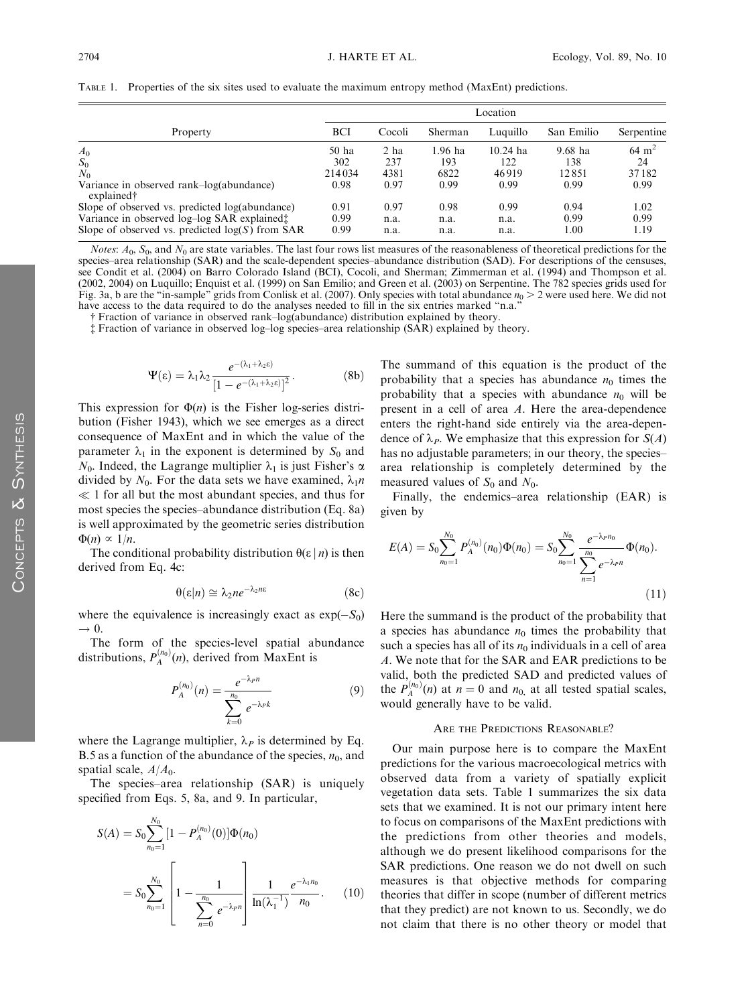TABLE 1. Properties of the six sites used to evaluate the maximum entropy method (MaxEnt) predictions.

|                                                                    | Location     |             |                  |                   |                  |                        |  |
|--------------------------------------------------------------------|--------------|-------------|------------------|-------------------|------------------|------------------------|--|
| Property                                                           | <b>BCI</b>   | Cocoli      | Sherman          | Luquillo          | San Emilio       | Serpentine             |  |
| $A_0$<br>$S_0$                                                     | 50 ha<br>302 | 2 ha<br>237 | $1.96$ ha<br>193 | $10.24$ ha<br>122 | $9.68$ ha<br>138 | $64 \text{ m}^2$<br>24 |  |
| $N_0$                                                              | 214034       | 4381        | 6822             | 46919             | 12851            | 37182                  |  |
| Variance in observed rank-log(abundance)<br>explained <sup>†</sup> | 0.98         | 0.97        | 0.99             | 0.99              | 0.99             | 0.99                   |  |
| Slope of observed vs. predicted log(abundance)                     | 0.91         | 0.97        | 0.98             | 0.99              | 0.94             | 1.02                   |  |
| Variance in observed log-log SAR explained:                        | 0.99         | n.a.        | n.a.             | n.a.              | 0.99             | 0.99                   |  |
| Slope of observed vs. predicted $log(S)$ from SAR                  | 0.99         | n.a.        | n.a.             | n.a.              | 1.00             | 1.19                   |  |

*Notes:*  $A_0$ ,  $S_0$ , and  $N_0$  are state variables. The last four rows list measures of the reasonableness of theoretical predictions for the species–area relationship (SAR) and the scale-dependent species–abundance distribution (SAD). For descriptions of the censuses, see Condit et al. (2004) on Barro Colorado Island (BCI), Cocoli, and Sherman; Zimmerman et al. (1994) and Thompson et al. (2002, 2004) on Luquillo; Enquist et al. (1999) on San Emilio; and Green et al. (2003) on Serpentine. The 782 species grids used for Fig. 3a, b are the "in-sample" grids from Conlisk et al. (2007). Only species with total abundance  $n_0 > 2$  were used here. We did not have access to the data required to do the analyses needed to fill in the six entries marked "n.a.'

- Fraction of variance in observed rank–log(abundance) distribution explained by theory.

Fraction of variance in observed log–log species–area relationship (SAR) explained by theory.

$$
\Psi(\varepsilon) = \lambda_1 \lambda_2 \frac{e^{-(\lambda_1 + \lambda_2 \varepsilon)}}{\left[1 - e^{-(\lambda_1 + \lambda_2 \varepsilon)}\right]^2}.
$$
 (8b)

This expression for  $\Phi(n)$  is the Fisher log-series distribution (Fisher 1943), which we see emerges as a direct consequence of MaxEnt and in which the value of the parameter  $\lambda_1$  in the exponent is determined by  $S_0$  and  $N_0$ . Indeed, the Lagrange multiplier  $\lambda_1$  is just Fisher's  $\alpha$ divided by  $N_0$ . For the data sets we have examined,  $\lambda_1 n$  $\ll 1$  for all but the most abundant species, and thus for most species the species–abundance distribution (Eq. 8a) is well approximated by the geometric series distribution  $\Phi(n) \propto 1/n$ .

The conditional probability distribution  $\theta(\varepsilon | n)$  is then derived from Eq. 4c:

$$
\theta(\varepsilon|n) \cong \lambda_2 n e^{-\lambda_2 n \varepsilon} \tag{8c}
$$

where the equivalence is increasingly exact as  $\exp(-S_0)$  $\rightarrow 0.$ 

The form of the species-level spatial abundance distributions,  $P_A^{(n_0)}(n)$ , derived from MaxEnt is

$$
P_A^{(n_0)}(n) = \frac{e^{-\lambda_P n}}{\sum_{k=0}^{n_0} e^{-\lambda_P k}}
$$
 (9)

where the Lagrange multiplier,  $\lambda_P$  is determined by Eq. B.5 as a function of the abundance of the species,  $n_0$ , and spatial scale,  $A/A<sub>0</sub>$ .

The species–area relationship (SAR) is uniquely specified from Eqs. 5, 8a, and 9. In particular,

$$
S(A) = S_0 \sum_{n_0=1}^{N_0} \left[1 - P_A^{(n_0)}(0)\right] \Phi(n_0)
$$
  
= 
$$
S_0 \sum_{n_0=1}^{N_0} \left[1 - \frac{1}{\sum_{n=0}^{n_0} e^{-\lambda_p n}}\right] \frac{1}{\ln(\lambda_1^{-1})} \frac{e^{-\lambda_1 n_0}}{n_0}.
$$
 (10)

The summand of this equation is the product of the probability that a species has abundance  $n_0$  times the probability that a species with abundance  $n_0$  will be present in a cell of area A. Here the area-dependence enters the right-hand side entirely via the area-dependence of  $\lambda_P$ . We emphasize that this expression for  $S(A)$ has no adjustable parameters; in our theory, the species– area relationship is completely determined by the measured values of  $S_0$  and  $N_0$ .

Finally, the endemics–area relationship (EAR) is given by

$$
E(A) = S_0 \sum_{n_0=1}^{N_0} P_A^{(n_0)}(n_0) \Phi(n_0) = S_0 \sum_{n_0=1}^{N_0} \frac{e^{-\lambda_p n_0}}{\sum_{n=1}^{n_0} e^{-\lambda_p n}} \Phi(n_0).
$$
\n(11)

Here the summand is the product of the probability that a species has abundance  $n_0$  times the probability that such a species has all of its  $n_0$  individuals in a cell of area A. We note that for the SAR and EAR predictions to be valid, both the predicted SAD and predicted values of the  $P_A^{(n_0)}(n)$  at  $n = 0$  and  $n_0$ , at all tested spatial scales, would generally have to be valid.

#### ARE THE PREDICTIONS REASONABLE?

Our main purpose here is to compare the MaxEnt predictions for the various macroecological metrics with observed data from a variety of spatially explicit vegetation data sets. Table 1 summarizes the six data sets that we examined. It is not our primary intent here to focus on comparisons of the MaxEnt predictions with the predictions from other theories and models, although we do present likelihood comparisons for the SAR predictions. One reason we do not dwell on such measures is that objective methods for comparing theories that differ in scope (number of different metrics that they predict) are not known to us. Secondly, we do not claim that there is no other theory or model that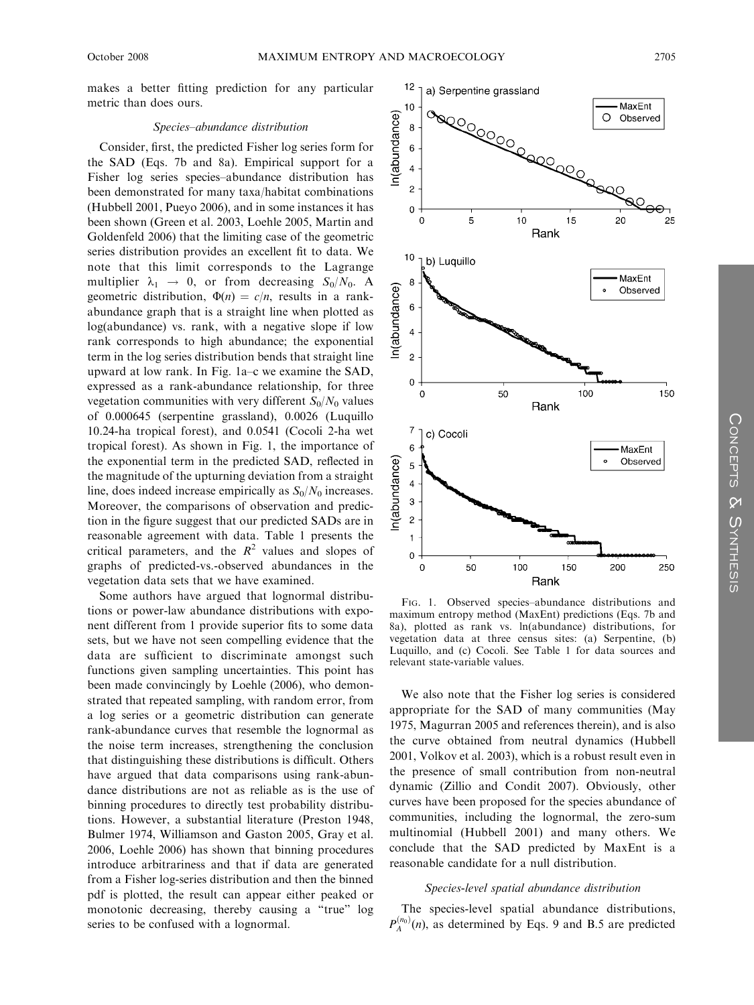makes a better fitting prediction for any particular metric than does ours.

# Species–abundance distribution

Consider, first, the predicted Fisher log series form for the SAD (Eqs. 7b and 8a). Empirical support for a Fisher log series species–abundance distribution has been demonstrated for many taxa/habitat combinations (Hubbell 2001, Pueyo 2006), and in some instances it has been shown (Green et al. 2003, Loehle 2005, Martin and Goldenfeld 2006) that the limiting case of the geometric series distribution provides an excellent fit to data. We note that this limit corresponds to the Lagrange multiplier  $\lambda_1 \rightarrow 0$ , or from decreasing  $S_0/N_0$ . A geometric distribution,  $\Phi(n) = c/n$ , results in a rankabundance graph that is a straight line when plotted as log(abundance) vs. rank, with a negative slope if low rank corresponds to high abundance; the exponential term in the log series distribution bends that straight line upward at low rank. In Fig. 1a–c we examine the SAD, expressed as a rank-abundance relationship, for three vegetation communities with very different  $S_0/N_0$  values of 0.000645 (serpentine grassland), 0.0026 (Luquillo 10.24-ha tropical forest), and 0.0541 (Cocoli 2-ha wet tropical forest). As shown in Fig. 1, the importance of the exponential term in the predicted SAD, reflected in the magnitude of the upturning deviation from a straight line, does indeed increase empirically as  $S_0/N_0$  increases. Moreover, the comparisons of observation and prediction in the figure suggest that our predicted SADs are in reasonable agreement with data. Table 1 presents the critical parameters, and the  $R^2$  values and slopes of graphs of predicted-vs.-observed abundances in the vegetation data sets that we have examined.

Some authors have argued that lognormal distributions or power-law abundance distributions with exponent different from 1 provide superior fits to some data sets, but we have not seen compelling evidence that the data are sufficient to discriminate amongst such functions given sampling uncertainties. This point has been made convincingly by Loehle (2006), who demonstrated that repeated sampling, with random error, from a log series or a geometric distribution can generate rank-abundance curves that resemble the lognormal as the noise term increases, strengthening the conclusion that distinguishing these distributions is difficult. Others have argued that data comparisons using rank-abundance distributions are not as reliable as is the use of binning procedures to directly test probability distributions. However, a substantial literature (Preston 1948, Bulmer 1974, Williamson and Gaston 2005, Gray et al. 2006, Loehle 2006) has shown that binning procedures introduce arbitrariness and that if data are generated from a Fisher log-series distribution and then the binned pdf is plotted, the result can appear either peaked or monotonic decreasing, thereby causing a ''true'' log series to be confused with a lognormal.



FIG. 1. Observed species–abundance distributions and maximum entropy method (MaxEnt) predictions (Eqs. 7b and 8a), plotted as rank vs. ln(abundance) distributions, for vegetation data at three census sites: (a) Serpentine, (b) Luquillo, and (c) Cocoli. See Table 1 for data sources and relevant state-variable values.

We also note that the Fisher log series is considered appropriate for the SAD of many communities (May 1975, Magurran 2005 and references therein), and is also the curve obtained from neutral dynamics (Hubbell 2001, Volkov et al. 2003), which is a robust result even in the presence of small contribution from non-neutral dynamic (Zillio and Condit 2007). Obviously, other curves have been proposed for the species abundance of communities, including the lognormal, the zero-sum multinomial (Hubbell 2001) and many others. We conclude that the SAD predicted by MaxEnt is a reasonable candidate for a null distribution.

# Species-level spatial abundance distribution

The species-level spatial abundance distributions,  $P_A^{(n_0)}(n)$ , as determined by Eqs. 9 and B.5 are predicted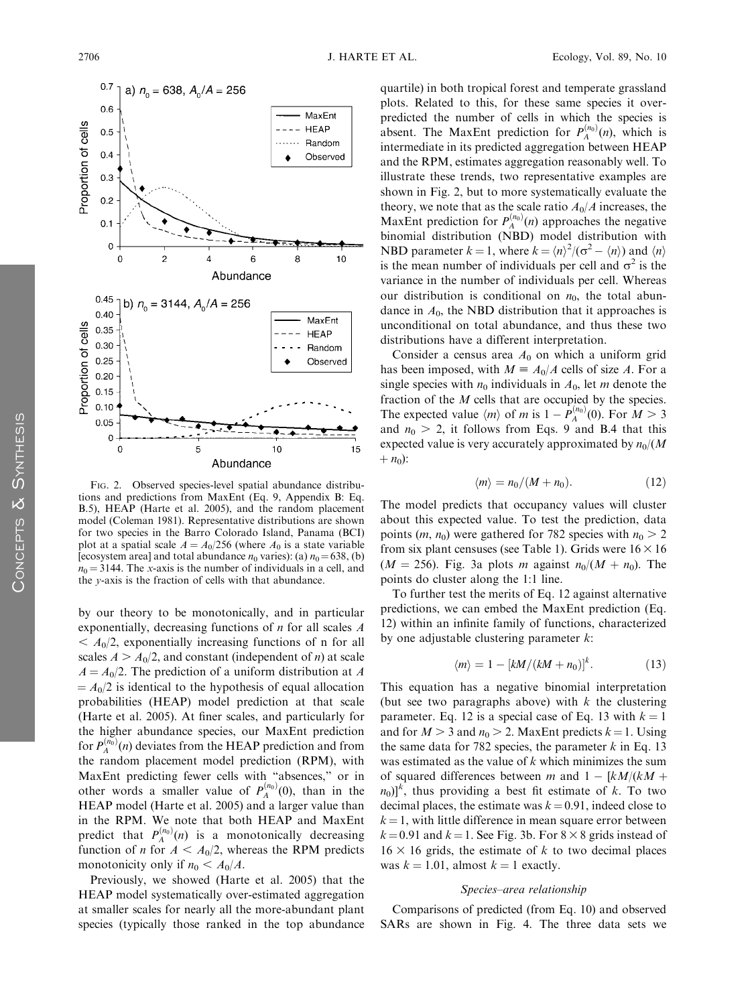

FIG. 2. Observed species-level spatial abundance distributions and predictions from MaxEnt (Eq. 9, Appendix B: Eq. B.5), HEAP (Harte et al. 2005), and the random placement model (Coleman 1981). Representative distributions are shown for two species in the Barro Colorado Island, Panama (BCI) plot at a spatial scale  $A = A_0/256$  (where  $A_0$  is a state variable [ecosystem area] and total abundance  $n_0$  varies): (a)  $n_0 = 638$ , (b)  $n_0 = 3144$ . The x-axis is the number of individuals in a cell, and the y-axis is the fraction of cells with that abundance.

by our theory to be monotonically, and in particular exponentially, decreasing functions of  $n$  for all scales  $A$  $\langle A_0/2,$  exponentially increasing functions of n for all scales  $A > A_0/2$ , and constant (independent of *n*) at scale  $A = A_0/2$ . The prediction of a uniform distribution at A  $= A_0/2$  is identical to the hypothesis of equal allocation probabilities (HEAP) model prediction at that scale (Harte et al. 2005). At finer scales, and particularly for the higher abundance species, our MaxEnt prediction for  $P_A^{(n_0)}(n)$  deviates from the HEAP prediction and from the random placement model prediction (RPM), with MaxEnt predicting fewer cells with ''absences,'' or in other words a smaller value of  $P_A^{(n_0)}(0)$ , than in the HEAP model (Harte et al. 2005) and a larger value than in the RPM. We note that both HEAP and MaxEnt predict that  $P_A^{(n_0)}(n)$  is a monotonically decreasing function of *n* for  $A < A_0/2$ , whereas the RPM predicts monotonicity only if  $n_0 < A_0/A$ .

Previously, we showed (Harte et al. 2005) that the HEAP model systematically over-estimated aggregation at smaller scales for nearly all the more-abundant plant species (typically those ranked in the top abundance quartile) in both tropical forest and temperate grassland plots. Related to this, for these same species it overpredicted the number of cells in which the species is absent. The MaxEnt prediction for  $P_A^{(n_0)}(n)$ , which is intermediate in its predicted aggregation between HEAP and the RPM, estimates aggregation reasonably well. To illustrate these trends, two representative examples are shown in Fig. 2, but to more systematically evaluate the theory, we note that as the scale ratio  $A_0/A$  increases, the MaxEnt prediction for  $P_A^{(n_0)}(n)$  approaches the negative binomial distribution (NBD) model distribution with NBD parameter  $k = 1$ , where  $k = \langle n \rangle^2 / (\sigma^2 - \langle n \rangle)$  and  $\langle n \rangle$ is the mean number of individuals per cell and  $\sigma^2$  is the variance in the number of individuals per cell. Whereas our distribution is conditional on  $n_0$ , the total abundance in  $A_0$ , the NBD distribution that it approaches is unconditional on total abundance, and thus these two distributions have a different interpretation.

Consider a census area  $A_0$  on which a uniform grid has been imposed, with  $M = A_0/A$  cells of size A. For a single species with  $n_0$  individuals in  $A_0$ , let m denote the fraction of the M cells that are occupied by the species. The expected value  $\langle m \rangle$  of m is  $1 - P_A^{(n_0)}(0)$ . For  $M > 3$ and  $n_0 > 2$ , it follows from Eqs. 9 and B.4 that this expected value is very accurately approximated by  $n_0/(M)$  $(n_0)$ :

$$
\langle m \rangle = n_0 / (M + n_0). \tag{12}
$$

The model predicts that occupancy values will cluster about this expected value. To test the prediction, data points  $(m, n_0)$  were gathered for 782 species with  $n_0 > 2$ from six plant censuses (see Table 1). Grids were  $16 \times 16$  $(M = 256)$ . Fig. 3a plots m against  $n_0/(M + n_0)$ . The points do cluster along the 1:1 line.

To further test the merits of Eq. 12 against alternative predictions, we can embed the MaxEnt prediction (Eq. 12) within an infinite family of functions, characterized by one adjustable clustering parameter  $k$ :

$$
\langle m \rangle = 1 - \left[ kM / (kM + n_0) \right]^k. \tag{13}
$$

This equation has a negative binomial interpretation (but see two paragraphs above) with  $k$  the clustering parameter. Eq. 12 is a special case of Eq. 13 with  $k = 1$ and for  $M > 3$  and  $n_0 > 2$ . MaxEnt predicts  $k = 1$ . Using the same data for 782 species, the parameter  $k$  in Eq. 13 was estimated as the value of  $k$  which minimizes the sum of squared differences between m and  $1 - [kM/(kM +$  $(n_0)$ <sup>k</sup>, thus providing a best fit estimate of k. To two decimal places, the estimate was  $k=0.91$ , indeed close to  $k = 1$ , with little difference in mean square error between  $k=0.91$  and  $k=1$ . See Fig. 3b. For  $8 \times 8$  grids instead of  $16 \times 16$  grids, the estimate of k to two decimal places was  $k = 1.01$ , almost  $k = 1$  exactly.

#### Species–area relationship

Comparisons of predicted (from Eq. 10) and observed SARs are shown in Fig. 4. The three data sets we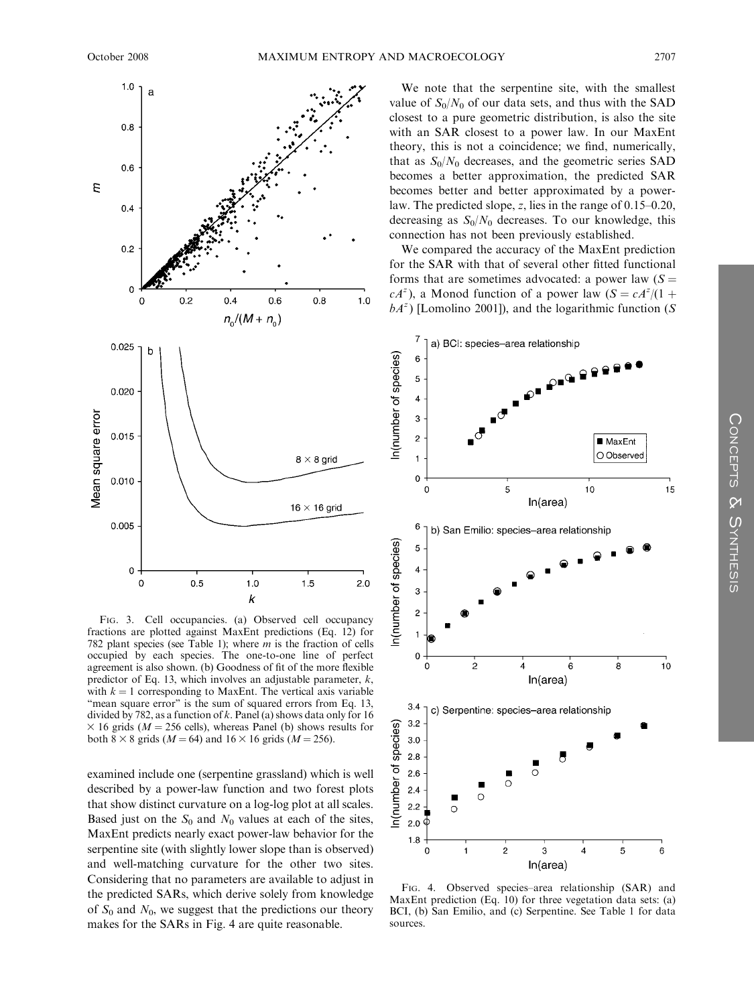



FIG. 3. Cell occupancies. (a) Observed cell occupancy fractions are plotted against MaxEnt predictions (Eq. 12) for 782 plant species (see Table 1); where  $m$  is the fraction of cells occupied by each species. The one-to-one line of perfect agreement is also shown. (b) Goodness of fit of the more flexible predictor of Eq. 13, which involves an adjustable parameter,  $k$ , with  $k = 1$  corresponding to MaxEnt. The vertical axis variable "mean square error" is the sum of squared errors from Eq. 13, divided by 782, as a function of  $k$ . Panel (a) shows data only for 16  $\times$  16 grids ( $M = 256$  cells), whereas Panel (b) shows results for both 8  $\times$  8 grids (*M* = 64) and 16  $\times$  16 grids (*M* = 256).

examined include one (serpentine grassland) which is well described by a power-law function and two forest plots that show distinct curvature on a log-log plot at all scales. Based just on the  $S_0$  and  $N_0$  values at each of the sites, MaxEnt predicts nearly exact power-law behavior for the serpentine site (with slightly lower slope than is observed) and well-matching curvature for the other two sites. Considering that no parameters are available to adjust in the predicted SARs, which derive solely from knowledge of  $S_0$  and  $N_0$ , we suggest that the predictions our theory makes for the SARs in Fig. 4 are quite reasonable.

We note that the serpentine site, with the smallest value of  $S_0/N_0$  of our data sets, and thus with the SAD closest to a pure geometric distribution, is also the site with an SAR closest to a power law. In our MaxEnt theory, this is not a coincidence; we find, numerically, that as  $S_0/N_0$  decreases, and the geometric series SAD becomes a better approximation, the predicted SAR becomes better and better approximated by a powerlaw. The predicted slope, z, lies in the range of 0.15–0.20, decreasing as  $S_0/N_0$  decreases. To our knowledge, this connection has not been previously established.

We compared the accuracy of the MaxEnt prediction for the SAR with that of several other fitted functional forms that are sometimes advocated: a power law  $(S =$  $cA^{z}$ ), a Monod function of a power law  $(S = cA^{z}/(1 +$  $bA^z$ ) [Lomolino 2001]), and the logarithmic function (S



FIG. 4. Observed species–area relationship (SAR) and MaxEnt prediction (Eq. 10) for three vegetation data sets: (a) BCI, (b) San Emilio, and (c) Serpentine. See Table 1 for data sources.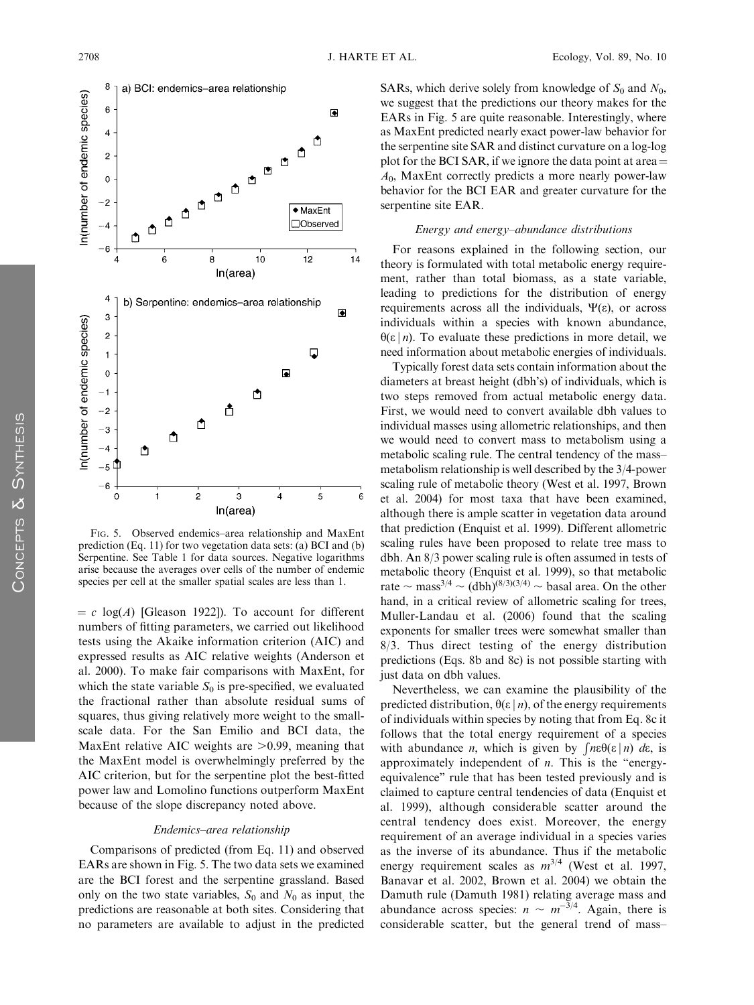

FIG. 5. Observed endemics–area relationship and MaxEnt prediction (Eq. 11) for two vegetation data sets: (a) BCI and (b) Serpentine. See Table 1 for data sources. Negative logarithms arise because the averages over cells of the number of endemic species per cell at the smaller spatial scales are less than 1.

 $= c \log(A)$  [Gleason 1922]). To account for different numbers of fitting parameters, we carried out likelihood tests using the Akaike information criterion (AIC) and expressed results as AIC relative weights (Anderson et al. 2000). To make fair comparisons with MaxEnt, for which the state variable  $S_0$  is pre-specified, we evaluated the fractional rather than absolute residual sums of squares, thus giving relatively more weight to the smallscale data. For the San Emilio and BCI data, the MaxEnt relative AIC weights are  $>0.99$ , meaning that the MaxEnt model is overwhelmingly preferred by the AIC criterion, but for the serpentine plot the best-fitted power law and Lomolino functions outperform MaxEnt because of the slope discrepancy noted above.

#### Endemics–area relationship

Comparisons of predicted (from Eq. 11) and observed EARs are shown in Fig. 5. The two data sets we examined are the BCI forest and the serpentine grassland. Based only on the two state variables,  $S_0$  and  $N_0$  as input, the predictions are reasonable at both sites. Considering that no parameters are available to adjust in the predicted SARs, which derive solely from knowledge of  $S_0$  and  $N_0$ , we suggest that the predictions our theory makes for the EARs in Fig. 5 are quite reasonable. Interestingly, where as MaxEnt predicted nearly exact power-law behavior for the serpentine site SAR and distinct curvature on a log-log plot for the BCI SAR, if we ignore the data point at area $=$  $A_0$ , MaxEnt correctly predicts a more nearly power-law behavior for the BCI EAR and greater curvature for the serpentine site EAR.

#### Energy and energy–abundance distributions

For reasons explained in the following section, our theory is formulated with total metabolic energy requirement, rather than total biomass, as a state variable, leading to predictions for the distribution of energy requirements across all the individuals,  $\Psi(\varepsilon)$ , or across individuals within a species with known abundance,  $\theta(\varepsilon | n)$ . To evaluate these predictions in more detail, we need information about metabolic energies of individuals.

Typically forest data sets contain information about the diameters at breast height (dbh's) of individuals, which is two steps removed from actual metabolic energy data. First, we would need to convert available dbh values to individual masses using allometric relationships, and then we would need to convert mass to metabolism using a metabolic scaling rule. The central tendency of the mass– metabolism relationship is well described by the 3/4-power scaling rule of metabolic theory (West et al. 1997, Brown et al. 2004) for most taxa that have been examined, although there is ample scatter in vegetation data around that prediction (Enquist et al. 1999). Different allometric scaling rules have been proposed to relate tree mass to dbh. An 8/3 power scaling rule is often assumed in tests of metabolic theory (Enquist et al. 1999), so that metabolic rate ~ mass<sup>3/4</sup> ~ (dbh)<sup>(8/3)(3/4)</sup> ~ basal area. On the other hand, in a critical review of allometric scaling for trees, Muller-Landau et al. (2006) found that the scaling exponents for smaller trees were somewhat smaller than 8/3. Thus direct testing of the energy distribution predictions (Eqs. 8b and 8c) is not possible starting with just data on dbh values.

Nevertheless, we can examine the plausibility of the predicted distribution,  $\theta(\varepsilon | n)$ , of the energy requirements of individuals within species by noting that from Eq. 8c it follows that the total energy requirement of a species with abundance *n*, which is given by  $\int n \epsilon \theta(\epsilon | n) d\epsilon$ , is approximately independent of  $n$ . This is the "energyequivalence'' rule that has been tested previously and is claimed to capture central tendencies of data (Enquist et al. 1999), although considerable scatter around the central tendency does exist. Moreover, the energy requirement of an average individual in a species varies as the inverse of its abundance. Thus if the metabolic energy requirement scales as  $m^{3/4}$  (West et al. 1997, Banavar et al. 2002, Brown et al. 2004) we obtain the Damuth rule (Damuth 1981) relating average mass and abundance across species:  $n \sim m^{-3/4}$ . Again, there is considerable scatter, but the general trend of mass–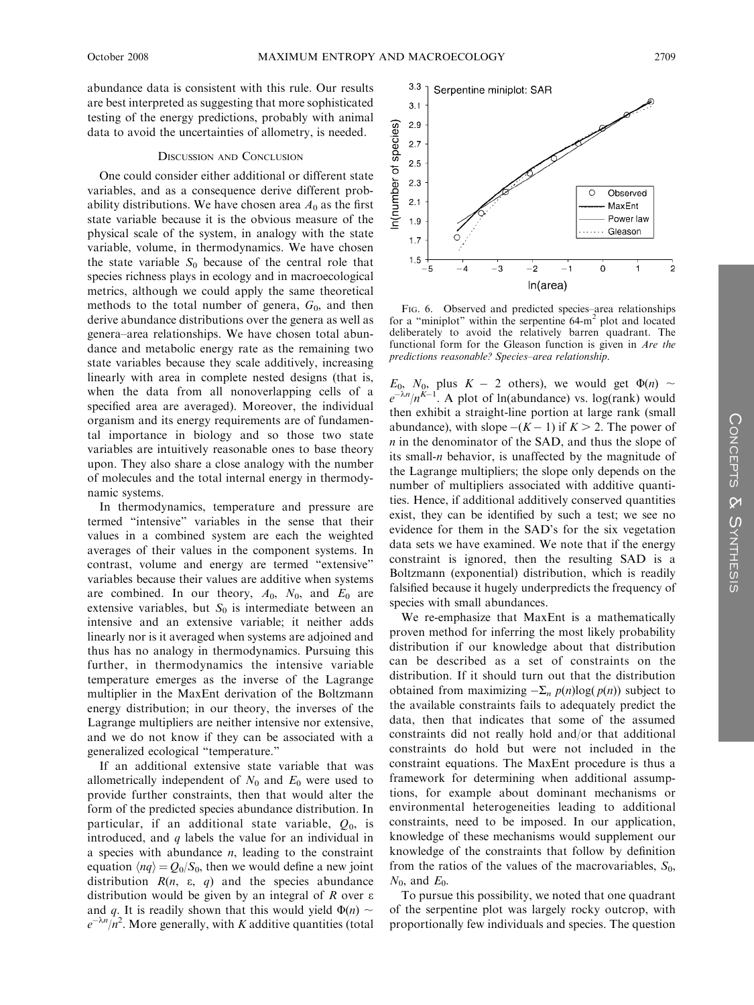abundance data is consistent with this rule. Our results are best interpreted as suggesting that more sophisticated testing of the energy predictions, probably with animal data to avoid the uncertainties of allometry, is needed.

#### DISCUSSION AND CONCLUSION

One could consider either additional or different state variables, and as a consequence derive different probability distributions. We have chosen area  $A_0$  as the first state variable because it is the obvious measure of the physical scale of the system, in analogy with the state variable, volume, in thermodynamics. We have chosen the state variable  $S_0$  because of the central role that species richness plays in ecology and in macroecological metrics, although we could apply the same theoretical methods to the total number of genera,  $G_0$ , and then derive abundance distributions over the genera as well as genera–area relationships. We have chosen total abundance and metabolic energy rate as the remaining two state variables because they scale additively, increasing linearly with area in complete nested designs (that is, when the data from all nonoverlapping cells of a specified area are averaged). Moreover, the individual organism and its energy requirements are of fundamental importance in biology and so those two state variables are intuitively reasonable ones to base theory upon. They also share a close analogy with the number of molecules and the total internal energy in thermodynamic systems.

In thermodynamics, temperature and pressure are termed ''intensive'' variables in the sense that their values in a combined system are each the weighted averages of their values in the component systems. In contrast, volume and energy are termed ''extensive'' variables because their values are additive when systems are combined. In our theory,  $A_0$ ,  $N_0$ , and  $E_0$  are extensive variables, but  $S_0$  is intermediate between an intensive and an extensive variable; it neither adds linearly nor is it averaged when systems are adjoined and thus has no analogy in thermodynamics. Pursuing this further, in thermodynamics the intensive variable temperature emerges as the inverse of the Lagrange multiplier in the MaxEnt derivation of the Boltzmann energy distribution; in our theory, the inverses of the Lagrange multipliers are neither intensive nor extensive, and we do not know if they can be associated with a generalized ecological ''temperature.''

If an additional extensive state variable that was allometrically independent of  $N_0$  and  $E_0$  were used to provide further constraints, then that would alter the form of the predicted species abundance distribution. In particular, if an additional state variable,  $Q_0$ , is introduced, and  $q$  labels the value for an individual in a species with abundance  $n$ , leading to the constraint equation  $\langle nq \rangle = Q_0/S_0$ , then we would define a new joint distribution  $R(n, \varepsilon, q)$  and the species abundance distribution would be given by an integral of  $R$  over  $\varepsilon$ and q. It is readily shown that this would yield  $\Phi(n)$  ~  $e^{-\lambda n}/n^2$ . More generally, with K additive quantities (total



FIG. 6. Observed and predicted species–area relationships for a "miniplot" within the serpentine  $64\text{-m}^2$  plot and located deliberately to avoid the relatively barren quadrant. The functional form for the Gleason function is given in Are the predictions reasonable? Species–area relationship.

 $E_0$ ,  $N_0$ , plus  $K - 2$  others), we would get  $\Phi(n) \sim$  $e^{-\lambda n}/n^{K-1}$ . A plot of ln(abundance) vs. log(rank) would then exhibit a straight-line portion at large rank (small abundance), with slope  $-(K-1)$  if  $K > 2$ . The power of  $n$  in the denominator of the SAD, and thus the slope of its small-*n* behavior, is unaffected by the magnitude of the Lagrange multipliers; the slope only depends on the number of multipliers associated with additive quantities. Hence, if additional additively conserved quantities exist, they can be identified by such a test; we see no evidence for them in the SAD's for the six vegetation data sets we have examined. We note that if the energy constraint is ignored, then the resulting SAD is a Boltzmann (exponential) distribution, which is readily falsified because it hugely underpredicts the frequency of species with small abundances.

We re-emphasize that MaxEnt is a mathematically proven method for inferring the most likely probability distribution if our knowledge about that distribution can be described as a set of constraints on the distribution. If it should turn out that the distribution obtained from maximizing  $-\sum_n p(n) \log(p(n))$  subject to the available constraints fails to adequately predict the data, then that indicates that some of the assumed constraints did not really hold and/or that additional constraints do hold but were not included in the constraint equations. The MaxEnt procedure is thus a framework for determining when additional assumptions, for example about dominant mechanisms or environmental heterogeneities leading to additional constraints, need to be imposed. In our application, knowledge of these mechanisms would supplement our knowledge of the constraints that follow by definition from the ratios of the values of the macrovariables,  $S_0$ ,  $N_0$ , and  $E_0$ .

To pursue this possibility, we noted that one quadrant of the serpentine plot was largely rocky outcrop, with proportionally few individuals and species. The question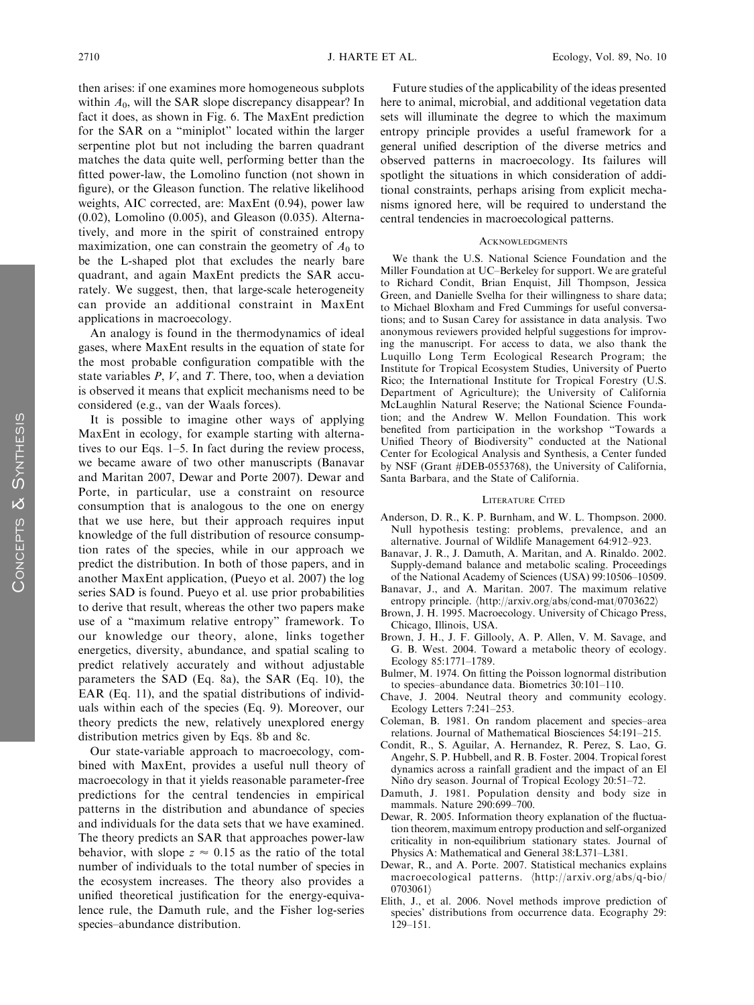then arises: if one examines more homogeneous subplots within  $A_0$ , will the SAR slope discrepancy disappear? In fact it does, as shown in Fig. 6. The MaxEnt prediction for the SAR on a ''miniplot'' located within the larger serpentine plot but not including the barren quadrant matches the data quite well, performing better than the fitted power-law, the Lomolino function (not shown in figure), or the Gleason function. The relative likelihood weights, AIC corrected, are: MaxEnt (0.94), power law (0.02), Lomolino (0.005), and Gleason (0.035). Alternatively, and more in the spirit of constrained entropy maximization, one can constrain the geometry of  $A_0$  to be the L-shaped plot that excludes the nearly bare quadrant, and again MaxEnt predicts the SAR accurately. We suggest, then, that large-scale heterogeneity can provide an additional constraint in MaxEnt applications in macroecology.

An analogy is found in the thermodynamics of ideal gases, where MaxEnt results in the equation of state for the most probable configuration compatible with the state variables  $P$ ,  $V$ , and  $T$ . There, too, when a deviation is observed it means that explicit mechanisms need to be considered (e.g., van der Waals forces).

It is possible to imagine other ways of applying MaxEnt in ecology, for example starting with alternatives to our Eqs. 1–5. In fact during the review process, we became aware of two other manuscripts (Banavar and Maritan 2007, Dewar and Porte 2007). Dewar and Porte, in particular, use a constraint on resource consumption that is analogous to the one on energy that we use here, but their approach requires input knowledge of the full distribution of resource consumption rates of the species, while in our approach we predict the distribution. In both of those papers, and in another MaxEnt application, (Pueyo et al. 2007) the log series SAD is found. Pueyo et al. use prior probabilities to derive that result, whereas the other two papers make use of a ''maximum relative entropy'' framework. To our knowledge our theory, alone, links together energetics, diversity, abundance, and spatial scaling to predict relatively accurately and without adjustable parameters the SAD (Eq. 8a), the SAR (Eq. 10), the EAR (Eq. 11), and the spatial distributions of individuals within each of the species (Eq. 9). Moreover, our theory predicts the new, relatively unexplored energy distribution metrics given by Eqs. 8b and 8c.

Our state-variable approach to macroecology, combined with MaxEnt, provides a useful null theory of macroecology in that it yields reasonable parameter-free predictions for the central tendencies in empirical patterns in the distribution and abundance of species and individuals for the data sets that we have examined. The theory predicts an SAR that approaches power-law behavior, with slope  $z \approx 0.15$  as the ratio of the total number of individuals to the total number of species in the ecosystem increases. The theory also provides a unified theoretical justification for the energy-equivalence rule, the Damuth rule, and the Fisher log-series species–abundance distribution.

Future studies of the applicability of the ideas presented here to animal, microbial, and additional vegetation data sets will illuminate the degree to which the maximum entropy principle provides a useful framework for a general unified description of the diverse metrics and observed patterns in macroecology. Its failures will spotlight the situations in which consideration of additional constraints, perhaps arising from explicit mechanisms ignored here, will be required to understand the central tendencies in macroecological patterns.

# **ACKNOWLEDGMENTS**

We thank the U.S. National Science Foundation and the Miller Foundation at UC–Berkeley for support. We are grateful to Richard Condit, Brian Enquist, Jill Thompson, Jessica Green, and Danielle Svelha for their willingness to share data; to Michael Bloxham and Fred Cummings for useful conversations; and to Susan Carey for assistance in data analysis. Two anonymous reviewers provided helpful suggestions for improving the manuscript. For access to data, we also thank the Luquillo Long Term Ecological Research Program; the Institute for Tropical Ecosystem Studies, University of Puerto Rico; the International Institute for Tropical Forestry (U.S. Department of Agriculture); the University of California McLaughlin Natural Reserve; the National Science Foundation; and the Andrew W. Mellon Foundation. This work benefited from participation in the workshop ''Towards a Unified Theory of Biodiversity'' conducted at the National Center for Ecological Analysis and Synthesis, a Center funded by NSF (Grant #DEB-0553768), the University of California, Santa Barbara, and the State of California.

#### LITERATURE CITED

- Anderson, D. R., K. P. Burnham, and W. L. Thompson. 2000. Null hypothesis testing: problems, prevalence, and an alternative. Journal of Wildlife Management 64:912–923.
- Banavar, J. R., J. Damuth, A. Maritan, and A. Rinaldo. 2002. Supply-demand balance and metabolic scaling. Proceedings of the National Academy of Sciences (USA) 99:10506–10509.
- Banavar, J., and A. Maritan. 2007. The maximum relative entropy principle.  $\langle$ http://arxiv.org/abs/cond-mat/0703622 $\rangle$
- Brown, J. H. 1995. Macroecology. University of Chicago Press, Chicago, Illinois, USA.
- Brown, J. H., J. F. Gillooly, A. P. Allen, V. M. Savage, and G. B. West. 2004. Toward a metabolic theory of ecology. Ecology 85:1771–1789.
- Bulmer, M. 1974. On fitting the Poisson lognormal distribution to species–abundance data. Biometrics 30:101–110.
- Chave, J. 2004. Neutral theory and community ecology. Ecology Letters 7:241–253.
- Coleman, B. 1981. On random placement and species–area relations. Journal of Mathematical Biosciences 54:191–215.
- Condit, R., S. Aguilar, A. Hernandez, R. Perez, S. Lao, G. Angehr, S. P. Hubbell, and R. B. Foster. 2004. Tropical forest dynamics across a rainfall gradient and the impact of an El Niño dry season. Journal of Tropical Ecology 20:51–72.
- Damuth, J. 1981. Population density and body size in mammals. Nature 290:699–700.
- Dewar, R. 2005. Information theory explanation of the fluctuation theorem, maximum entropy production and self-organized criticality in non-equilibrium stationary states. Journal of Physics A: Mathematical and General 38:L371–L381.
- Dewar, R., and A. Porte. 2007. Statistical mechanics explains macroecological patterns.  $\frac{\hbar t}{\hbar t}$  / http://arxiv.org/abs/q-bio/  $0703061$
- Elith, J., et al. 2006. Novel methods improve prediction of species' distributions from occurrence data. Ecography 29: 129–151.